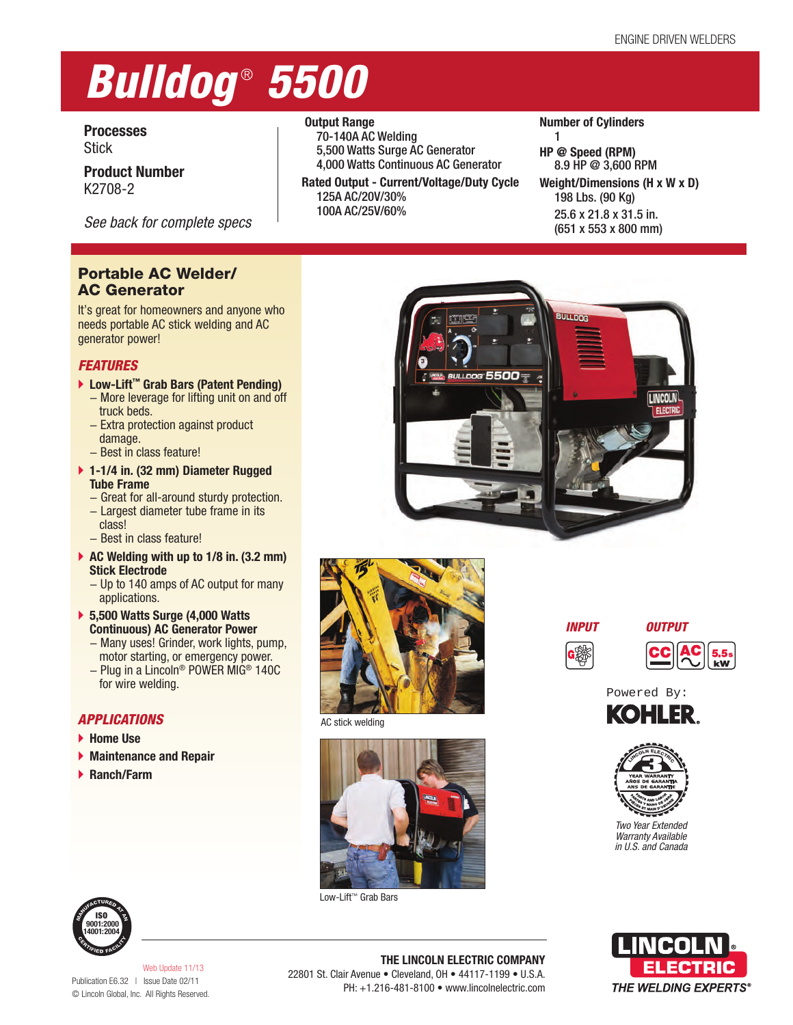# *Bulldog* ® *5500*

### **Processes Stick**

**Product Number** K2708-2

*See back for complete specs*

# **Portable AC Welder/ AC Generator**

It's great for homeowners and anyone who needs portable AC stick welding and AC generator power!

# *FEATURES*

- **Low-Lift™ Grab Bars (Patent Pending)**
	- − More leverage for lifting unit on and off truck beds.
	- − Extra protection against product damage.
	- − Best in class feature!
- **1-1/4 in. (32 mm) Diameter Rugged Tube Frame**
	- − Great for all-around sturdy protection.
	- − Largest diameter tube frame in its class!
	- − Best in class feature!
- **AC Welding with up to 1/8 in. (3.2 mm) Stick Electrode**
	- − Up to 140 amps of AC output for many applications.
- **5,500 Watts Surge (4,000 Watts Continuous) AC Generator Power**
	- − Many uses! Grinder, work lights, pump, motor starting, or emergency power.
	- − Plug in a Lincoln® POWER MIG® 140C for wire welding.

# *APPLICATIONS*

- **Home Use**
- **Maintenance and Repair**
- **Ranch/Farm**



70-140A AC Welding 5,500 Watts Surge AC Generator 4,000 Watts Continuous AC Generator

**Rated Output - Current/Voltage/Duty Cycle** 125A AC/20V/30% 100A AC/25V/60%

#### **Number of Cylinders** 1

**HP @ Speed (RPM)** 8.9 HP @ 3,600 RPM **Weight/Dimensions (H x W x D)** 198 Lbs. (90 Kg) 25.6 x 21.8 x 31.5 in. (651 x 553 x 800 mm)





AC stick welding



Low-Lift™ Grab Bars









*Two Year Extended Warranty Available in U.S. and Canada*



**ISO 9001:2000 14001:2004**

Publication E6.32 | Issue Date 02/11 © Lincoln Global, Inc. All Rights Reserved. Web Update 11/13

**THE LINCOLN ELECTRIC COMPANY** 22801 St. Clair Avenue • Cleveland, OH • 44117-1199 • U.S.A. PH: +1.216-481-8100 • www.lincolnelectric.com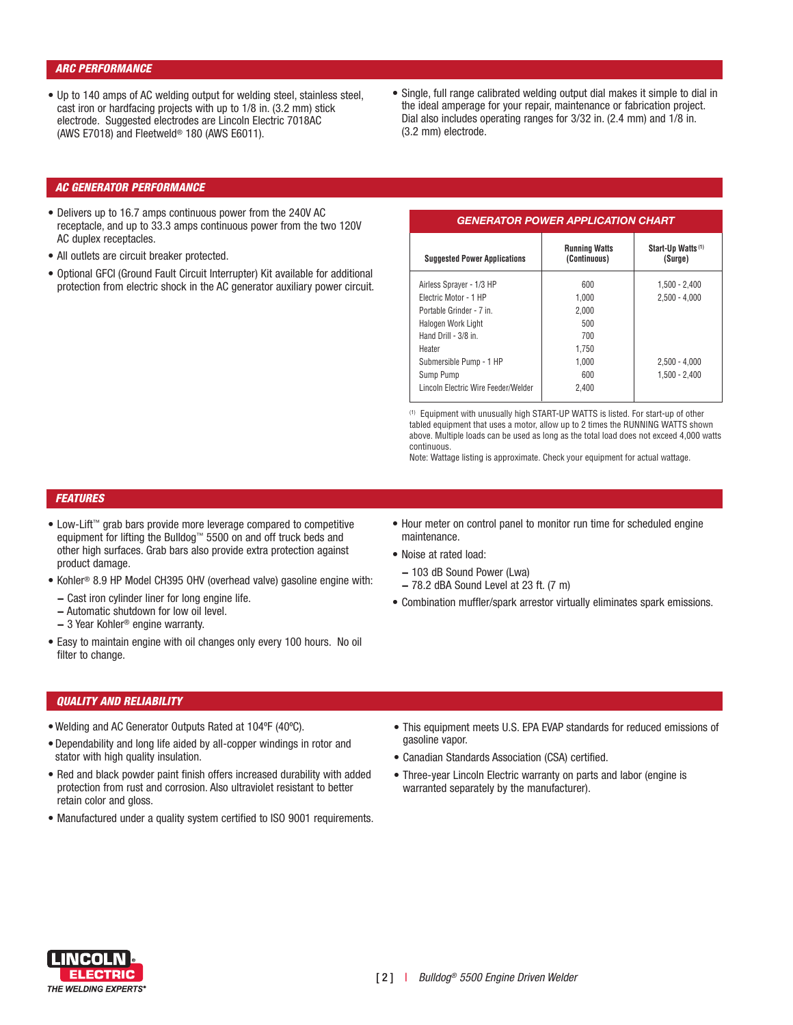#### *ARC PERFORMANCE*

- **•** Up to 140 amps of AC welding output for welding steel, stainless steel, cast iron or hardfacing projects with up to 1/8 in. (3.2 mm) stick electrode. Suggested electrodes are Lincoln Electric 7018AC (AWS E7018) and Fleetweld® 180 (AWS E6011).
- **•** Single, full range calibrated welding output dial makes it simple to dial in the ideal amperage for your repair, maintenance or fabrication project. Dial also includes operating ranges for 3/32 in. (2.4 mm) and 1/8 in. (3.2 mm) electrode.

#### *AC GENERATOR PERFORMANCE*

- **•** Delivers up to 16.7 amps continuous power from the 240V AC receptacle, and up to 33.3 amps continuous power from the two 120V AC duplex receptacles.
- **•** All outlets are circuit breaker protected.
- Optional GFCI (Ground Fault Circuit Interrupter) Kit available for additional protection from electric shock in the AC generator auxiliary power circuit.

#### *GENERATOR POWER APPLICATION CHART*

| <b>Suggested Power Applications</b> | <b>Running Watts</b><br>(Continuous) | Start-Up Watts <sup>(1)</sup><br>(Surge) |  |
|-------------------------------------|--------------------------------------|------------------------------------------|--|
| Airless Sprayer - 1/3 HP            | 600                                  | $1,500 - 2,400$                          |  |
| Flectric Motor - 1 HP               | 1.000                                | $2,500 - 4,000$                          |  |
| Portable Grinder - 7 in.            | 2.000                                |                                          |  |
| Halogen Work Light                  | 500                                  |                                          |  |
| Hand Drill - $3/8$ in               | 700                                  |                                          |  |
| Heater                              | 1.750                                |                                          |  |
| Submersible Pump - 1 HP             | 1.000                                | $2.500 - 4.000$                          |  |
| Sump Pump                           | 600                                  | $1,500 - 2,400$                          |  |
| Lincoln Electric Wire Feeder/Welder | 2.400                                |                                          |  |

(1) Equipment with unusually high START-UP WATTS is listed. For start-up of other tabled equipment that uses a motor, allow up to 2 times the RUNNING WATTS shown above. Multiple loads can be used as long as the total load does not exceed 4,000 watts continuous.

Note: Wattage listing is approximate. Check your equipment for actual wattage.

#### *FEATURES*

- **•** Low-Lift™ grab bars provide more leverage compared to competitive equipment for lifting the Bulldog™ 5500 on and off truck beds and other high surfaces. Grab bars also provide extra protection against product damage.
- **•** Kohler® 8.9 HP Model CH395 OHV (overhead valve) gasoline engine with:
	- **−** Cast iron cylinder liner for long engine life.
- **−** Automatic shutdown for low oil level.
- **−** 3 Year Kohler® engine warranty.
- **•** Easy to maintain engine with oil changes only every 100 hours. No oil filter to change.
- **•** Hour meter on control panel to monitor run time for scheduled engine maintenance.
- **•** Noise at rated load:
	- **−** 103 dB Sound Power (Lwa)
	- **−** 78.2 dBA Sound Level at 23 ft. (7 m)
- Combination muffler/spark arrestor virtually eliminates spark emissions.

#### *QUALITY AND RELIABILITY*

- Welding and AC Generator Outputs Rated at 104ºF (40ºC).
- **•** Dependability and long life aided by all-copper windings in rotor and stator with high quality insulation.
- Red and black powder paint finish offers increased durability with added protection from rust and corrosion. Also ultraviolet resistant to better retain color and gloss.
- Manufactured under a quality system certified to ISO 9001 requirements.
- This equipment meets U.S. EPA EVAP standards for reduced emissions of gasoline vapor.
- Canadian Standards Association (CSA) certified.
- Three-year Lincoln Electric warranty on parts and labor (engine is warranted separately by the manufacturer).

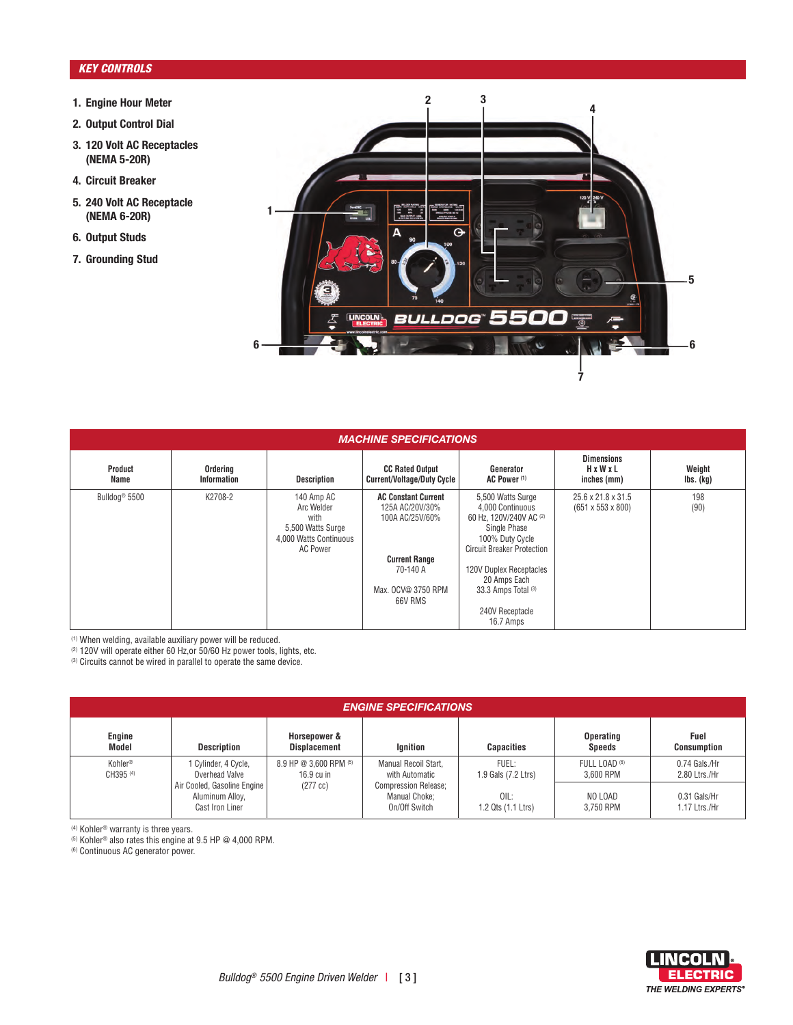#### *KEY CONTROLS*

- **1. Engine Hour Meter**
- **2. Output Control Dial**
- **3. 120 Volt AC Receptacles (NEMA 5-20R)**
- **4. Circuit Breaker**
- **5. 240 Volt AC Receptacle (NEMA 6-20R)**
- **6. Output Studs**
- **7. Grounding Stud**



| <b>MACHINE SPECIFICATIONS</b> |                         |                                                                                             |                                                                  |                                                                                                                                          |                                                     |                     |  |
|-------------------------------|-------------------------|---------------------------------------------------------------------------------------------|------------------------------------------------------------------|------------------------------------------------------------------------------------------------------------------------------------------|-----------------------------------------------------|---------------------|--|
| Product<br>Name               | Ordering<br>Information | <b>Description</b>                                                                          | <b>CC Rated Output</b><br>Current/Voltage/Duty Cycle             | Generator<br>AC Power <sup>(1)</sup>                                                                                                     | <b>Dimensions</b><br>HxWxL<br>inches (mm)           | Weight<br>Ibs. (kg) |  |
| Bulldog <sup>®</sup> 5500     | K2708-2                 | 140 Amp AC<br>Arc Welder<br>with<br>5,500 Watts Surge<br>4.000 Watts Continuous<br>AC Power | <b>AC Constant Current</b><br>125A AC/20V/30%<br>100A AC/25V/60% | 5,500 Watts Surge<br>4,000 Continuous<br>60 Hz. 120V/240V AC (2)<br>Single Phase<br>100% Duty Cycle<br><b>Circuit Breaker Protection</b> | 25.6 x 21.8 x 31.5<br>$(651 \times 553 \times 800)$ | 198<br>(90)         |  |
|                               |                         |                                                                                             | <b>Current Range</b>                                             |                                                                                                                                          |                                                     |                     |  |
|                               |                         |                                                                                             | 70-140 A                                                         | 120V Duplex Receptacles<br>20 Amps Each                                                                                                  |                                                     |                     |  |
|                               |                         |                                                                                             | Max. OCV@ 3750 RPM<br>66V RMS                                    | 33.3 Amps Total (3)                                                                                                                      |                                                     |                     |  |
|                               |                         |                                                                                             |                                                                  | 240V Receptacle<br>16.7 Amps                                                                                                             |                                                     |                     |  |

(1) When welding, available auxiliary power will be reduced.

(2) 120V will operate either 60 Hz,or 50/60 Hz power tools, lights, etc.

(3) Circuits cannot be wired in parallel to operate the same device.

| <b>ENGINE SPECIFICATIONS</b> |                                                                                                                                                                                    |                                                               |                                        |                              |                                   |                                |  |  |
|------------------------------|------------------------------------------------------------------------------------------------------------------------------------------------------------------------------------|---------------------------------------------------------------|----------------------------------------|------------------------------|-----------------------------------|--------------------------------|--|--|
| Engine<br>Model              | <b>Description</b>                                                                                                                                                                 | Horsepower &<br><b>Displacement</b>                           | Ignition                               | <b>Capacities</b>            | <b>Operating</b><br><b>Speeds</b> | Fuel<br><b>Consumption</b>     |  |  |
| Kohler®<br>CH395 (4)         | 8.9 HP @ 3.600 RPM (5)<br>1 Cylinder, 4 Cycle,<br>Overhead Valve<br>$16.9 \text{ cu}$ in<br>Air Cooled, Gasoline Engine<br>$(277$ cc)<br>Aluminum Alloy,<br><b>Cast Iron Liner</b> |                                                               | Manual Recoil Start,<br>with Automatic | FUEL:<br>1.9 Gals (7.2 Ltrs) | FULL LOAD (6)<br>3.600 RPM        | 0.74 Gals./Hr<br>2.80 Ltrs./Hr |  |  |
|                              |                                                                                                                                                                                    | <b>Compression Release:</b><br>Manual Choke;<br>On/Off Switch | OIL:<br>1.2 Qts (1.1 Ltrs)             | NO LOAD<br>3.750 RPM         | 0.31 Gals/Hr<br>1.17 Ltrs./Hr     |                                |  |  |

(4) Kohler® warranty is three years.

(5) Kohler® also rates this engine at 9.5 HP @ 4,000 RPM.

(6) Continuous AC generator power.